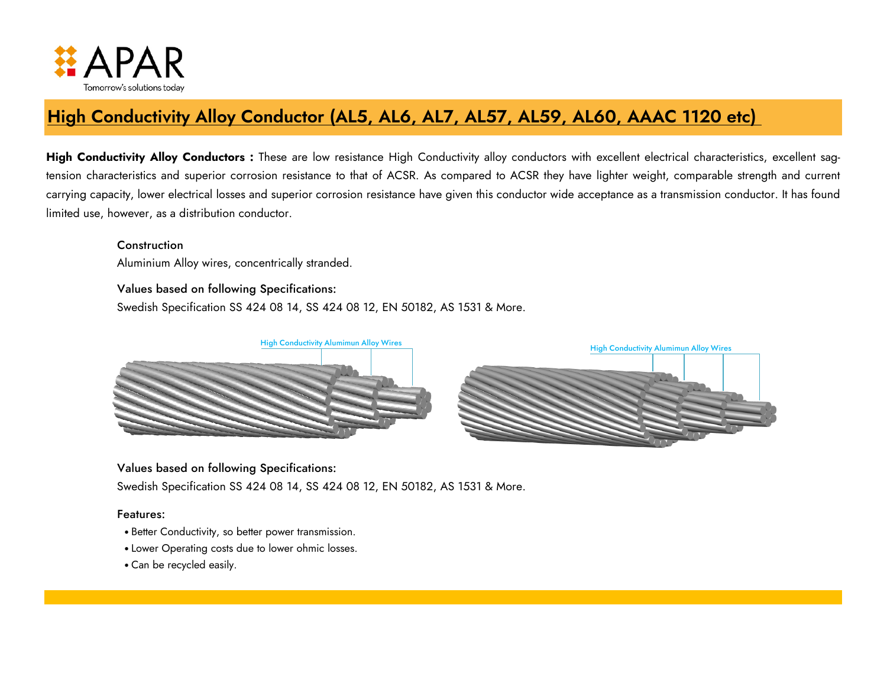

# **High Conductivity Alloy Conductor (AL5, AL6, AL7, AL57, AL59, AL60, AAAC 1120 etc)**

High Conductivity Alloy Conductors : These are low resistance High Conductivity alloy conductors with excellent electrical characteristics, excellent sagtension characteristics and superior corrosion resistance to that of ACSR. As compared to ACSR they have lighter weight, comparable strength and current carrying capacity, lower electrical losses and superior corrosion resistance have given this conductor wide acceptance as a transmission conductor. It has found limited use, however, as a distribution conductor.

Construction

Aluminium Alloy wires, concentrically stranded.



#### Values based on following Specifications:

Swedish Specification SS 424 08 14, SS 424 08 12, EN 50182, AS 1531 & More.

#### Features:

- Better Conductivity, so better power transmission.
- Lower Operating costs due to lower ohmic losses.
- Can be recycled easily.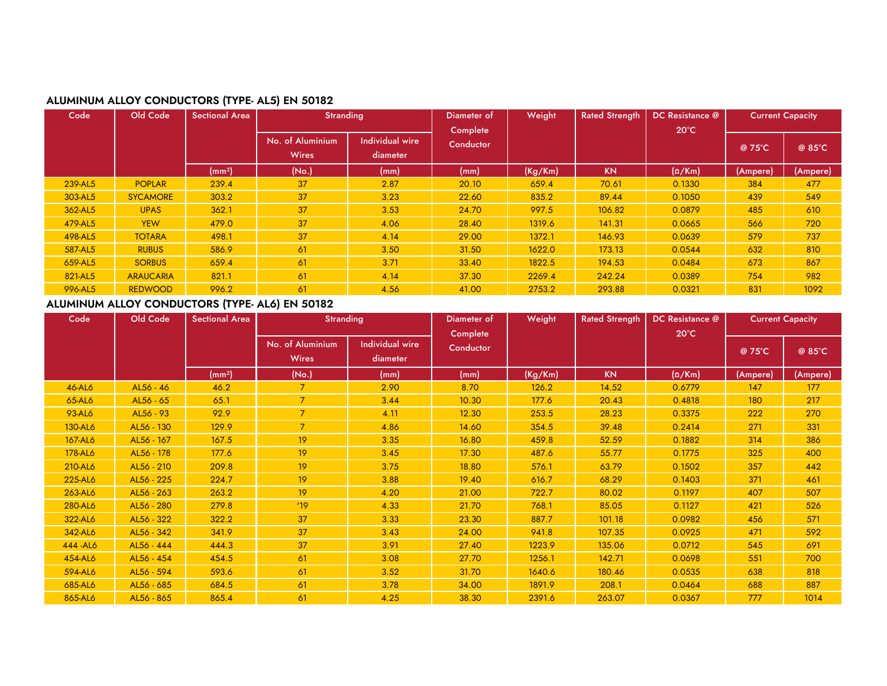

# **ALUMINUM ALLOY CONDUCTORS (TYPE- AL5) EN 50182**

| Code    | Old Code         | <b>Sectional Area</b> | <b>Stranding</b>                 |                             | Weight<br>Diameter of |         | <b>Rated Strength</b> | DC Resistance @<br>$20^{\circ}$ C | <b>Current Capacity</b> |          |
|---------|------------------|-----------------------|----------------------------------|-----------------------------|-----------------------|---------|-----------------------|-----------------------------------|-------------------------|----------|
|         |                  |                       | No. of Aluminium<br><b>Wires</b> | Individual wire<br>diameter | Complete<br>Conductor |         |                       |                                   | @ 75°C                  | @ 85°C   |
|         |                  | (mm <sup>2</sup> )    | (No.)                            | (mm)                        | (mm)                  | (Kg/Km) | <b>KN</b>             | $(\Omega/Km)$                     | (Ampere)                | (Ampere) |
| 239-AL5 | <b>POPLAR</b>    | 239.4                 | 37                               | 2.87                        | 20.10                 | 659.4   | 70.61                 | 0.1330                            | 384                     | 477      |
| 303-AL5 | <b>SYCAMORE</b>  | 303.2                 | 37                               | 3.23                        | 22.60                 | 835.2   | 89.44                 | 0.1050                            | 439                     | 549      |
| 362-AL5 | <b>UPAS</b>      | 362.1                 | 37                               | 3.53                        | 24.70                 | 997.5   | 106.82                | 0.0879                            | 485                     | 610      |
| 479-AL5 | <b>YEW</b>       | 479.0                 | 37                               | 4.06                        | 28.40                 | 1319.6  | 141.31                | 0.0665                            | 566                     | 720      |
| 498-AL5 | <b>TOTARA</b>    | 498.1                 | 37                               | 4.14                        | 29.00                 | 1372.1  | 146.93                | 0.0639                            | 579                     | 737      |
| 587-AL5 | <b>RUBUS</b>     | 586.9                 | 61                               | 3.50                        | 31.50                 | 1622.0  | 173.13                | 0.0544                            | 632                     | 810      |
| 659-AL5 | <b>SORBUS</b>    | 659.4                 | 61                               | 3.71                        | 33.40                 | 1822.5  | 194.53                | 0.0484                            | 673                     | 867      |
| 821-AL5 | <b>ARAUCARIA</b> | 821.1                 | 61                               | 4.14                        | 37.30                 | 2269.4  | 242.24                | 0.0389                            | 754                     | 982      |
| 996-AL5 | <b>REDWOOD</b>   | 996.2                 | 61                               | 4.56                        | 41.00                 | 2753.2  | 293.88                | 0.0321                            | 831                     | 1092     |

# **ALUMINUM ALLOY CONDUCTORS (TYPE- AL6) EN 50182**

| Code      | Old Code   | Sectional Area     | <b>Stranding</b>                 |                             | Diameter of           | Weight  | <b>Rated Strength</b> | DC Resistance @ |          | <b>Current Capacity</b> |
|-----------|------------|--------------------|----------------------------------|-----------------------------|-----------------------|---------|-----------------------|-----------------|----------|-------------------------|
|           |            |                    | No. of Aluminium<br><b>Wires</b> | Individual wire<br>diameter | Complete<br>Conductor |         |                       | $20^{\circ}$ C  | @ 75°C   | @ 85°C                  |
|           |            | (mm <sup>2</sup> ) | (No.)                            | (mm)                        | (mm)                  | (Kg/Km) | <b>KN</b>             | $(\Omega/Km)$   | (Ampere) | (Ampere)                |
| 46-AL6    | AL56 - 46  | 46.2               |                                  | 2.90                        | 8.70                  | 126.2   | 14.52                 | 0.6779          | 147      | 177                     |
| 65-AL6    | AL56 - 65  | 65.1               | $\overline{7}$                   | 3.44                        | 10.30                 | 177.6   | 20.43                 | 0.4818          | 180      | 217                     |
| 93-AL6    | AL56 - 93  | 92.9               | $\overline{7}$                   | 4.11                        | 12.30                 | 253.5   | 28.23                 | 0.3375          | 222      | 270                     |
| 130-AL6   | AL56 - 130 | 129.9              | $\overline{7}$                   | 4.86                        | 14.60                 | 354.5   | 39.48                 | 0.2414          | 271      | 331                     |
| 167-AL6   | AL56 - 167 | 167.5              | 19                               | 3.35                        | 16.80                 | 459.8   | 52.59                 | 0.1882          | 314      | 386                     |
| 178-AL6   | AL56 - 178 | 177.6              | 19                               | 3.45                        | 17.30                 | 487.6   | 55.77                 | 0.1775          | 325      | 400                     |
| 210-AL6   | AL56 - 210 | 209.8              | 19                               | 3.75                        | 18.80                 | 576.1   | 63.79                 | 0.1502          | 357      | 442                     |
| 225-AL6   | AL56 - 225 | 224.7              | 19                               | 3.88                        | 19.40                 | 616.7   | 68.29                 | 0.1403          | 371      | 461                     |
| 263-AL6   | AL56 - 263 | 263.2              | 19                               | 4.20                        | 21.00                 | 722.7   | 80.02                 | 0.1197          | 407      | 507                     |
| 280-AL6   | AL56 - 280 | 279.8              | 119                              | 4.33                        | 21.70                 | 768.1   | 85.05                 | 0.1127          | 421      | 526                     |
| 322-AL6   | AL56 - 322 | 322.2              | 37                               | 3.33                        | 23.30                 | 887.7   | 101.18                | 0.0982          | 456      | 571                     |
| 342-AL6   | AL56 - 342 | 341.9              | 37                               | 3.43                        | 24.00                 | 941.8   | 107.35                | 0.0925          | 471      | 592                     |
| 444 - AL6 | AL56 - 444 | 444.3              | 37                               | 3.91                        | 27.40                 | 1223.9  | 135.06                | 0.0712          | 545      | 691                     |
| 454-AL6   | AL56 - 454 | 454.5              | 61                               | 3.08                        | 27.70                 | 1256.1  | 142.71                | 0.0698          | 551      | 700                     |
| 594-AL6   | AL56 - 594 | 593.6              | 61                               | 3.52                        | 31.70                 | 1640.6  | 180.46                | 0.0535          | 638      | 818                     |
| 685-AL6   | AL56 - 685 | 684.5              | 61                               | 3.78                        | 34.00                 | 1891.9  | 208.1                 | 0.0464          | 688      | 887                     |
| 865-AL6   | AL56 - 865 | 865.4              | 61                               | 4.25                        | 38.30                 | 2391.6  | 263.07                | 0.0367          | 777      | 1014                    |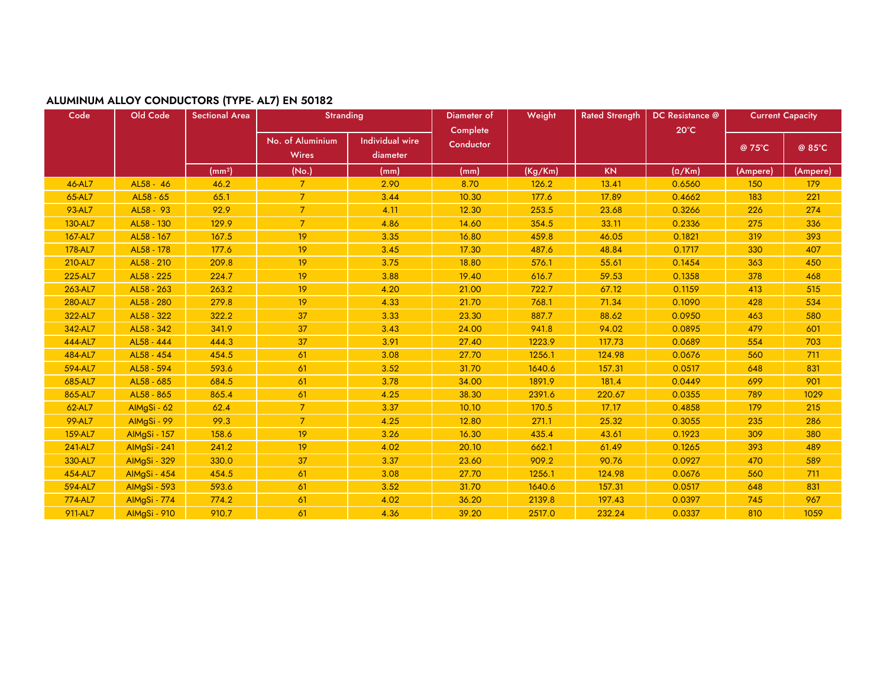

# **ALUMINUM ALLOY CONDUCTORS (TYPE- AL7) EN 50182**

| Code    | Old Code            | <b>Sectional Area</b> | <b>Stranding</b>                 |                                    | Diameter of<br>Complete | Weight  | <b>Rated Strength</b> | DC Resistance @<br>$20^{\circ}$ C | <b>Current Capacity</b> |          |
|---------|---------------------|-----------------------|----------------------------------|------------------------------------|-------------------------|---------|-----------------------|-----------------------------------|-------------------------|----------|
|         |                     |                       | No. of Aluminium<br><b>Wires</b> | <b>Individual wire</b><br>diameter | Conductor               |         |                       |                                   | @ 75°C                  | @ 85°C   |
|         |                     | (mm <sup>2</sup> )    | (No.)                            | (mm)                               | (mm)                    | (Kg/Km) | KN                    | $(\Omega/Km)$                     | (Ampere)                | (Ampere) |
| 46-AL7  | AL58 - 46           | 46.2                  | $\overline{7}$                   | 2.90                               | 8.70                    | 126.2   | 13.41                 | 0.6560                            | 150                     | 179      |
| 65-AL7  | AL58 - 65           | 65.1                  | $\mathcal{I}$                    | 3.44                               | 10.30                   | 177.6   | 17.89                 | 0.4662                            | 183                     | 221      |
| 93-AL7  | AL58 - 93           | 92.9                  | $\mathcal{I}$                    | 4.11                               | 12.30                   | 253.5   | 23.68                 | 0.3266                            | 226                     | 274      |
| 130-AL7 | AL58 - 130          | 129.9                 | $\overline{7}$                   | 4.86                               | 14.60                   | 354.5   | 33.11                 | 0.2336                            | 275                     | 336      |
| 167-AL7 | AL58 - 167          | 167.5                 | 19                               | 3.35                               | 16.80                   | 459.8   | 46.05                 | 0.1821                            | 319                     | 393      |
| 178-AL7 | AL58 - 178          | 177.6                 | 19                               | 3.45                               | 17.30                   | 487.6   | 48.84                 | 0.1717                            | 330                     | 407      |
| 210-AL7 | AL58 - 210          | 209.8                 | 19                               | 3.75                               | 18.80                   | 576.1   | 55.61                 | 0.1454                            | 363                     | 450      |
| 225-AL7 | AL58 - 225          | 224.7                 | 19                               | 3.88                               | 19.40                   | 616.7   | 59.53                 | 0.1358                            | 378                     | 468      |
| 263-AL7 | AL58 - 263          | 263.2                 | 19                               | 4.20                               | 21.00                   | 722.7   | 67.12                 | 0.1159                            | 413                     | 515      |
| 280-AL7 | AL58 - 280          | 279.8                 | 19                               | 4.33                               | 21.70                   | 768.1   | 71.34                 | 0.1090                            | 428                     | 534      |
| 322-AL7 | AL58 - 322          | 322.2                 | 37                               | 3.33                               | 23.30                   | 887.7   | 88.62                 | 0.0950                            | 463                     | 580      |
| 342-AL7 | AL58 - 342          | 341.9                 | 37                               | 3.43                               | 24.00                   | 941.8   | 94.02                 | 0.0895                            | 479                     | 601      |
| 444-AL7 | AL58 - 444          | 444.3                 | 37                               | 3.91                               | 27.40                   | 1223.9  | 117.73                | 0.0689                            | 554                     | 703      |
| 484-AL7 | AL58 - 454          | 454.5                 | 61                               | 3.08                               | 27.70                   | 1256.1  | 124.98                | 0.0676                            | 560                     | 711      |
| 594-AL7 | AL58 - 594          | 593.6                 | 61                               | 3.52                               | 31.70                   | 1640.6  | 157.31                | 0.0517                            | 648                     | 831      |
| 685-AL7 | AL58 - 685          | 684.5                 | 61                               | 3.78                               | 34.00                   | 1891.9  | 181.4                 | 0.0449                            | 699                     | 901      |
| 865-AL7 | AL58 - 865          | 865.4                 | 61                               | 4.25                               | 38.30                   | 2391.6  | 220.67                | 0.0355                            | 789                     | 1029     |
| 62-AL7  | AlMgSi - 62         | 62.4                  | $\overline{7}$                   | 3.37                               | 10.10                   | 170.5   | 17.17                 | 0.4858                            | 179                     | 215      |
| 99-AL7  | AlMgSi - 99         | 99.3                  | $\overline{7}$                   | 4.25                               | 12.80                   | 271.1   | 25.32                 | 0.3055                            | 235                     | 286      |
| 159-AL7 | <b>AlMgSi - 157</b> | 158.6                 | 19                               | 3.26                               | 16.30                   | 435.4   | 43.61                 | 0.1923                            | 309                     | 380      |
| 241-AL7 | AlMgSi - 241        | 241.2                 | 19                               | 4.02                               | 20.10                   | 662.1   | 61.49                 | 0.1265                            | 393                     | 489      |
| 330-AL7 | AlMgSi - 329        | 330.0                 | 37                               | 3.37                               | 23.60                   | 909.2   | 90.76                 | 0.0927                            | 470                     | 589      |
| 454-AL7 | AlMgSi - 454        | 454.5                 | 61                               | 3.08                               | 27.70                   | 1256.1  | 124.98                | 0.0676                            | 560                     | 711      |
| 594-AL7 | AlMgSi - 593        | 593.6                 | 61                               | 3.52                               | 31.70                   | 1640.6  | 157.31                | 0.0517                            | 648                     | 831      |
| 774-AL7 | <b>AlMgSi - 774</b> | 774.2                 | 61                               | 4.02                               | 36.20                   | 2139.8  | 197.43                | 0.0397                            | 745                     | 967      |
| 911-AL7 | AlMgSi - 910        | 910.7                 | 61                               | 4.36                               | 39.20                   | 2517.0  | 232.24                | 0.0337                            | 810                     | 1059     |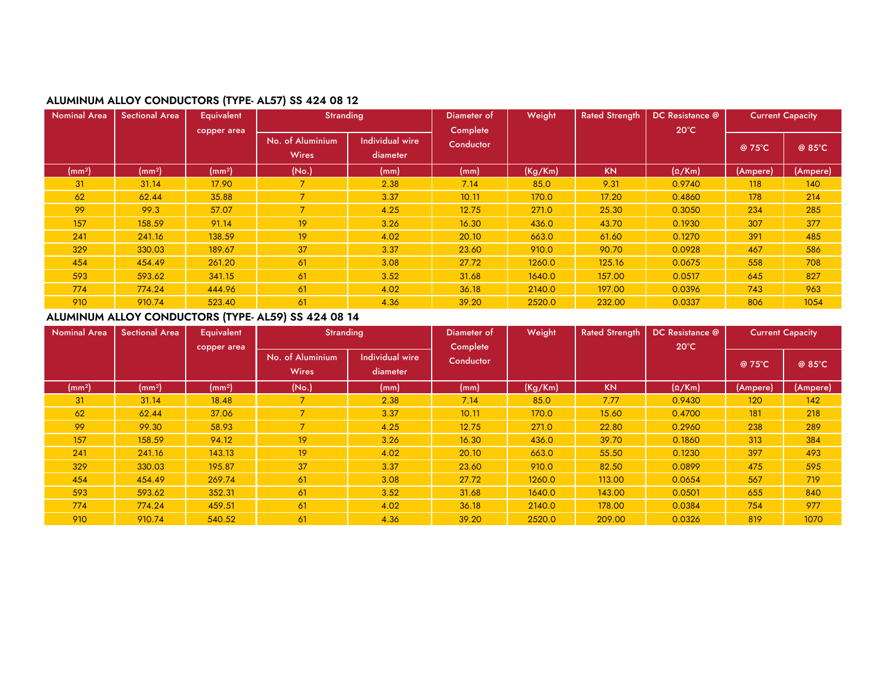

# **ALUMINUM ALLOY CONDUCTORS (TYPE- AL57) SS 424 08 12**

| <b>Nominal Area</b> | <b>Sectional Area</b> | <b>Equivalent</b>  | <b>Stranding</b> |                        | Diameter of | Weight  |           | DC Resistance @ | <b>Current Capacity</b> |          |
|---------------------|-----------------------|--------------------|------------------|------------------------|-------------|---------|-----------|-----------------|-------------------------|----------|
|                     |                       | copper area        |                  |                        | Complete    |         |           | $20^{\circ}$ C  |                         |          |
|                     |                       |                    | No. of Aluminium | <b>Individual wire</b> | Conductor   |         |           |                 | @ 75°C                  | @ 85°C   |
|                     |                       |                    | <b>Wires</b>     | diameter               |             |         |           |                 |                         |          |
| (mm <sup>2</sup> )  | (mm <sup>2</sup> )    | (mm <sup>2</sup> ) | (No.)            | (mm)                   | (mm)        | (Kg/Km) | <b>KN</b> | $(\Omega/Km)$   | (Ampere)                | (Ampere) |
| 31                  | 31.14                 | 17.90              |                  | 2.38                   | 7.14        | 85.0    | 9.31      | 0.9740          | 118                     | 140      |
| 62                  | 62.44                 | 35.88              | $\overline{7}$   | 3.37                   | 10.11       | 170.0   | 17.20     | 0.4860          | 178                     | 214      |
| 99                  | 99.3                  | 57.07              | $\overline{7}$   | 4.25                   | 12.75       | 271.0   | 25.30     | 0.3050          | 234                     | 285      |
| 157                 | 158.59                | 91.14              | 19               | 3.26                   | 16.30       | 436.0   | 43.70     | 0.1930          | 307                     | 377      |
| 241                 | 241.16                | 138.59             | 19               | 4.02                   | 20.10       | 663.0   | 61.60     | 0.1270          | 391                     | 485      |
| 329                 | 330.03                | 189.67             | 37               | 3.37                   | 23.60       | 910.0   | 90.70     | 0.0928          | 467                     | 586      |
| 454                 | 454.49                | 261.20             | 61               | 3.08                   | 27.72       | 1260.0  | 125.16    | 0.0675          | 558                     | 708      |
| 593                 | 593.62                | 341.15             | 61               | 3.52                   | 31.68       | 1640.0  | 157.00    | 0.0517          | 645                     | 827      |
| 774                 | 774.24                | 444.96             | 61               | 4.02                   | 36.18       | 2140.0  | 197.00    | 0.0396          | 743                     | 963      |
| 910                 | 910.74                | 523.40             | 61               | 4.36                   | 39.20       | 2520.0  | 232.00    | 0.0337          | 806                     | 1054     |

# **ALUMINUM ALLOY CONDUCTORS (TYPE- AL59) SS 424 08 14**

| <b>Nominal Area</b> | Sectional Area     | <b>Equivalent</b>  | <b>Stranding</b>                 |                             | Diameter of | Weight  | <b>Rated Strength</b> | DC Resistance @ | <b>Current Capacity</b> |          |
|---------------------|--------------------|--------------------|----------------------------------|-----------------------------|-------------|---------|-----------------------|-----------------|-------------------------|----------|
|                     |                    | copper area        |                                  |                             | Complete    |         |                       | $20^{\circ}$ C  |                         |          |
|                     |                    |                    | No. of Aluminium<br><b>Wires</b> | Individual wire<br>diameter | Conductor   |         |                       |                 | $@75^{\circ}C$          | @ 85°C   |
|                     |                    |                    |                                  |                             |             |         |                       |                 |                         |          |
| (mm <sup>2</sup> )  | (mm <sup>2</sup> ) | (mm <sup>2</sup> ) | (No.)                            | (mm)                        | (mm)        | (Kg/Km) | <b>KN</b>             | $(\Omega/Km)$   | (Ampere)                | (Ampere) |
| 31                  | 31.14              | 18.48              |                                  | 2.38                        | 7.14        | 85.0    | 7.77                  | 0.9430          | 120                     | 142      |
| 62                  | 62.44              | 37.06              | $\overline{\phantom{a}}$         | 3.37                        | 10.11       | 170.0   | 15.60                 | 0.4700          | 181                     | 218      |
| 99                  | 99.30              | 58.93              | 7                                | 4.25                        | 12.75       | 271.0   | 22.80                 | 0.2960          | 238                     | 289      |
| 157                 | 158.59             | 94.12              | 19                               | 3.26                        | 16.30       | 436.0   | 39.70                 | 0.1860          | 313                     | 384      |
| 241                 | 241.16             | 143.13             | 19                               | 4.02                        | 20.10       | 663.0   | 55.50                 | 0.1230          | 397                     | 493      |
| 329                 | 330.03             | 195.87             | 37                               | 3.37                        | 23.60       | 910.0   | 82.50                 | 0.0899          | 475                     | 595      |
| 454                 | 454.49             | 269.74             | 61                               | 3.08                        | 27.72       | 1260.0  | 113.00                | 0.0654          | 567                     | 719      |
| 593                 | 593.62             | 352.31             | 61                               | 3.52                        | 31.68       | 1640.0  | 143.00                | 0.0501          | 655                     | 840      |
| 774                 | 774.24             | 459.51             | 61                               | 4.02                        | 36.18       | 2140.0  | 178.00                | 0.0384          | 754                     | 977      |
| 910                 | 910.74             | 540.52             | 61                               | 4.36                        | 39.20       | 2520.0  | 209.00                | 0.0326          | 819                     | 1070     |